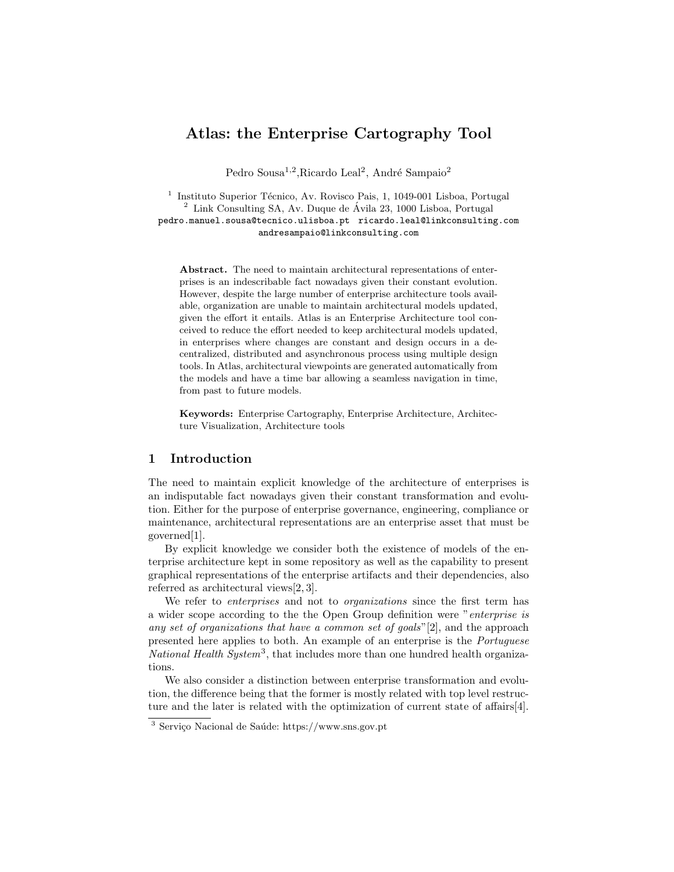# Atlas: the Enterprise Cartography Tool

Pedro Sousa<sup>1,2</sup>, Ricardo Leal<sup>2</sup>, André Sampaio<sup>2</sup>

1 Instituto Superior Técnico, Av. Rovisco Pais, 1, 1049-001 Lisboa, Portugal  $^2$  Link Consulting SA, Av. Duque de Ávila 23, 1000 Lisboa, Portugal pedro.manuel.sousa@tecnico.ulisboa.pt ricardo.leal@linkconsulting.com andresampaio@linkconsulting.com

Abstract. The need to maintain architectural representations of enterprises is an indescribable fact nowadays given their constant evolution. However, despite the large number of enterprise architecture tools available, organization are unable to maintain architectural models updated, given the effort it entails. Atlas is an Enterprise Architecture tool conceived to reduce the effort needed to keep architectural models updated, in enterprises where changes are constant and design occurs in a decentralized, distributed and asynchronous process using multiple design tools. In Atlas, architectural viewpoints are generated automatically from the models and have a time bar allowing a seamless navigation in time, from past to future models.

Keywords: Enterprise Cartography, Enterprise Architecture, Architecture Visualization, Architecture tools

## 1 Introduction

The need to maintain explicit knowledge of the architecture of enterprises is an indisputable fact nowadays given their constant transformation and evolution. Either for the purpose of enterprise governance, engineering, compliance or maintenance, architectural representations are an enterprise asset that must be governed[1].

By explicit knowledge we consider both the existence of models of the enterprise architecture kept in some repository as well as the capability to present graphical representations of the enterprise artifacts and their dependencies, also referred as architectural views[2, 3].

We refer to *enterprises* and not to *organizations* since the first term has a wider scope according to the the Open Group definition were "enterprise is any set of organizations that have a common set of goals"[2], and the approach presented here applies to both. An example of an enterprise is the Portuguese National Health System<sup>3</sup>, that includes more than one hundred health organizations.

We also consider a distinction between enterprise transformation and evolution, the difference being that the former is mostly related with top level restructure and the later is related with the optimization of current state of affairs[4].

 $3$  Serviço Nacional de Saúde: https://www.sns.gov.pt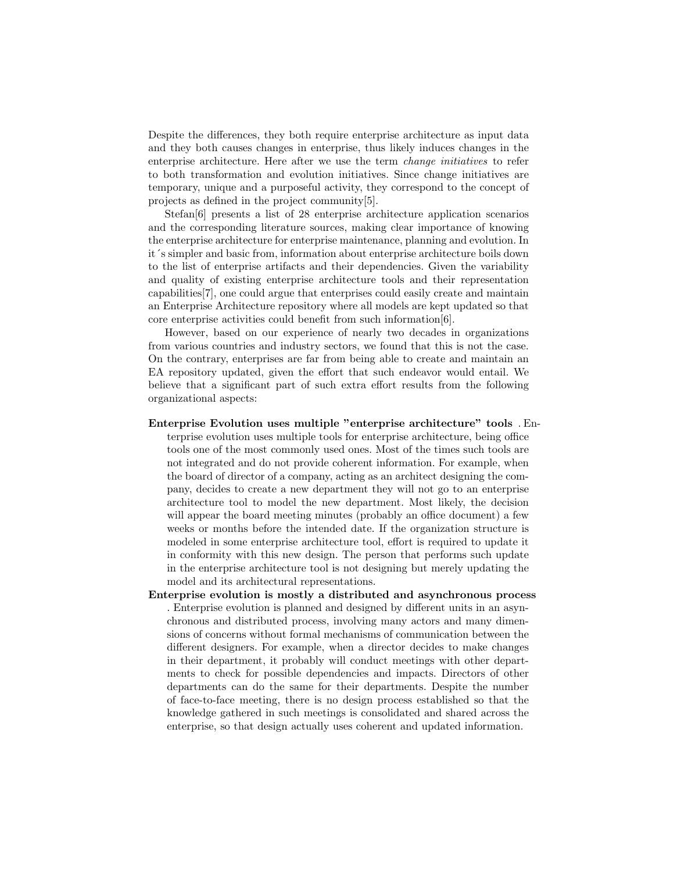Despite the differences, they both require enterprise architecture as input data and they both causes changes in enterprise, thus likely induces changes in the enterprise architecture. Here after we use the term change initiatives to refer to both transformation and evolution initiatives. Since change initiatives are temporary, unique and a purposeful activity, they correspond to the concept of projects as defined in the project community[5].

Stefan[6] presents a list of 28 enterprise architecture application scenarios and the corresponding literature sources, making clear importance of knowing the enterprise architecture for enterprise maintenance, planning and evolution. In it´s simpler and basic from, information about enterprise architecture boils down to the list of enterprise artifacts and their dependencies. Given the variability and quality of existing enterprise architecture tools and their representation capabilities[7], one could argue that enterprises could easily create and maintain an Enterprise Architecture repository where all models are kept updated so that core enterprise activities could benefit from such information[6].

However, based on our experience of nearly two decades in organizations from various countries and industry sectors, we found that this is not the case. On the contrary, enterprises are far from being able to create and maintain an EA repository updated, given the effort that such endeavor would entail. We believe that a significant part of such extra effort results from the following organizational aspects:

Enterprise Evolution uses multiple "enterprise architecture" tools . En-

terprise evolution uses multiple tools for enterprise architecture, being office tools one of the most commonly used ones. Most of the times such tools are not integrated and do not provide coherent information. For example, when the board of director of a company, acting as an architect designing the company, decides to create a new department they will not go to an enterprise architecture tool to model the new department. Most likely, the decision will appear the board meeting minutes (probably an office document) a few weeks or months before the intended date. If the organization structure is modeled in some enterprise architecture tool, effort is required to update it in conformity with this new design. The person that performs such update in the enterprise architecture tool is not designing but merely updating the model and its architectural representations.

Enterprise evolution is mostly a distributed and asynchronous process . Enterprise evolution is planned and designed by different units in an asynchronous and distributed process, involving many actors and many dimensions of concerns without formal mechanisms of communication between the different designers. For example, when a director decides to make changes in their department, it probably will conduct meetings with other departments to check for possible dependencies and impacts. Directors of other departments can do the same for their departments. Despite the number of face-to-face meeting, there is no design process established so that the knowledge gathered in such meetings is consolidated and shared across the enterprise, so that design actually uses coherent and updated information.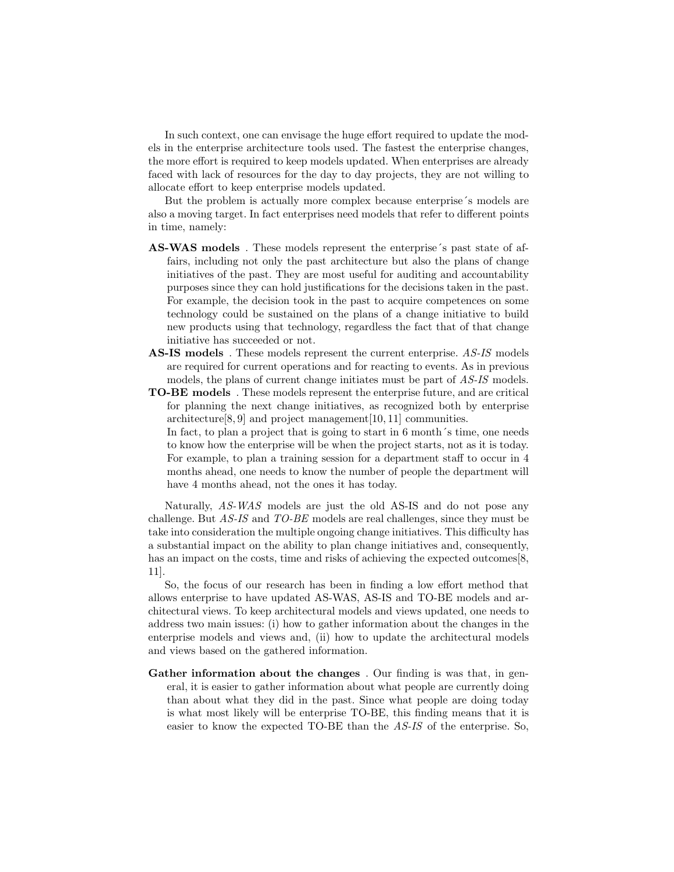In such context, one can envisage the huge effort required to update the models in the enterprise architecture tools used. The fastest the enterprise changes, the more effort is required to keep models updated. When enterprises are already faced with lack of resources for the day to day projects, they are not willing to allocate effort to keep enterprise models updated.

But the problem is actually more complex because enterprise´s models are also a moving target. In fact enterprises need models that refer to different points in time, namely:

- AS-WAS models . These models represent the enterprise´s past state of affairs, including not only the past architecture but also the plans of change initiatives of the past. They are most useful for auditing and accountability purposes since they can hold justifications for the decisions taken in the past. For example, the decision took in the past to acquire competences on some technology could be sustained on the plans of a change initiative to build new products using that technology, regardless the fact that of that change initiative has succeeded or not.
- AS-IS models. These models represent the current enterprise. AS-IS models are required for current operations and for reacting to events. As in previous models, the plans of current change initiates must be part of AS-IS models.
- TO-BE models . These models represent the enterprise future, and are critical for planning the next change initiatives, as recognized both by enterprise architecture[8, 9] and project management[10, 11] communities.
	- In fact, to plan a project that is going to start in 6 month s time, one needs to know how the enterprise will be when the project starts, not as it is today. For example, to plan a training session for a department staff to occur in 4 months ahead, one needs to know the number of people the department will have 4 months ahead, not the ones it has today.

Naturally, AS-WAS models are just the old AS-IS and do not pose any challenge. But AS-IS and TO-BE models are real challenges, since they must be take into consideration the multiple ongoing change initiatives. This difficulty has a substantial impact on the ability to plan change initiatives and, consequently, has an impact on the costs, time and risks of achieving the expected outcomes [8, 11].

So, the focus of our research has been in finding a low effort method that allows enterprise to have updated AS-WAS, AS-IS and TO-BE models and architectural views. To keep architectural models and views updated, one needs to address two main issues: (i) how to gather information about the changes in the enterprise models and views and, (ii) how to update the architectural models and views based on the gathered information.

Gather information about the changes . Our finding is was that, in general, it is easier to gather information about what people are currently doing than about what they did in the past. Since what people are doing today is what most likely will be enterprise TO-BE, this finding means that it is easier to know the expected TO-BE than the AS-IS of the enterprise. So,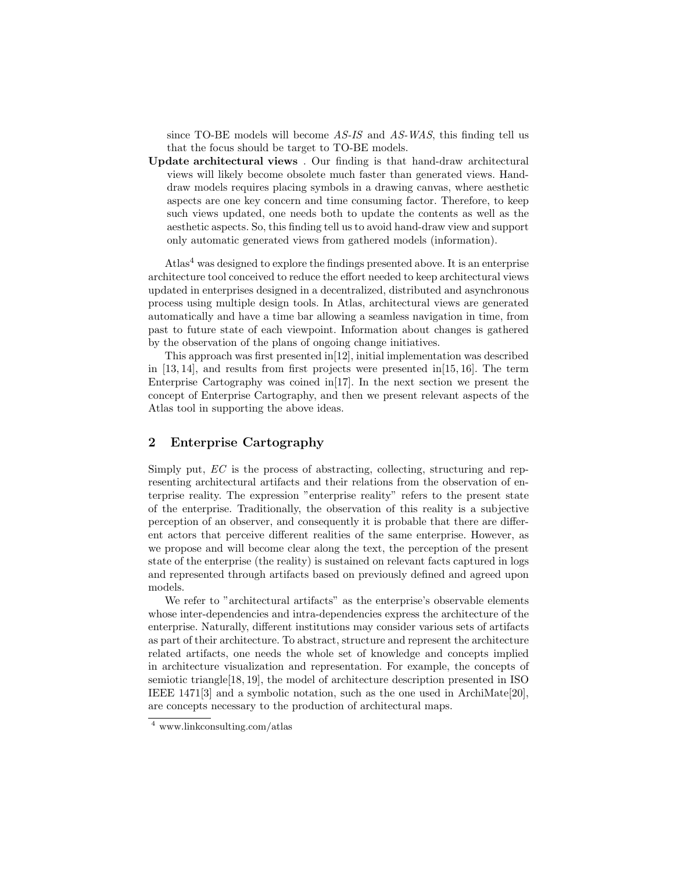since TO-BE models will become AS-IS and AS-WAS, this finding tell us that the focus should be target to TO-BE models.

Update architectural views . Our finding is that hand-draw architectural views will likely become obsolete much faster than generated views. Handdraw models requires placing symbols in a drawing canvas, where aesthetic aspects are one key concern and time consuming factor. Therefore, to keep such views updated, one needs both to update the contents as well as the aesthetic aspects. So, this finding tell us to avoid hand-draw view and support only automatic generated views from gathered models (information).

Atlas<sup>4</sup> was designed to explore the findings presented above. It is an enterprise architecture tool conceived to reduce the effort needed to keep architectural views updated in enterprises designed in a decentralized, distributed and asynchronous process using multiple design tools. In Atlas, architectural views are generated automatically and have a time bar allowing a seamless navigation in time, from past to future state of each viewpoint. Information about changes is gathered by the observation of the plans of ongoing change initiatives.

This approach was first presented in[12], initial implementation was described in  $[13, 14]$ , and results from first projects were presented in [15, 16]. The term Enterprise Cartography was coined in[17]. In the next section we present the concept of Enterprise Cartography, and then we present relevant aspects of the Atlas tool in supporting the above ideas.

# 2 Enterprise Cartography

Simply put, EC is the process of abstracting, collecting, structuring and representing architectural artifacts and their relations from the observation of enterprise reality. The expression "enterprise reality" refers to the present state of the enterprise. Traditionally, the observation of this reality is a subjective perception of an observer, and consequently it is probable that there are different actors that perceive different realities of the same enterprise. However, as we propose and will become clear along the text, the perception of the present state of the enterprise (the reality) is sustained on relevant facts captured in logs and represented through artifacts based on previously defined and agreed upon models.

We refer to "architectural artifacts" as the enterprise's observable elements whose inter-dependencies and intra-dependencies express the architecture of the enterprise. Naturally, different institutions may consider various sets of artifacts as part of their architecture. To abstract, structure and represent the architecture related artifacts, one needs the whole set of knowledge and concepts implied in architecture visualization and representation. For example, the concepts of semiotic triangle[18, 19], the model of architecture description presented in ISO IEEE 1471[3] and a symbolic notation, such as the one used in ArchiMate[20], are concepts necessary to the production of architectural maps.

<sup>4</sup> www.linkconsulting.com/atlas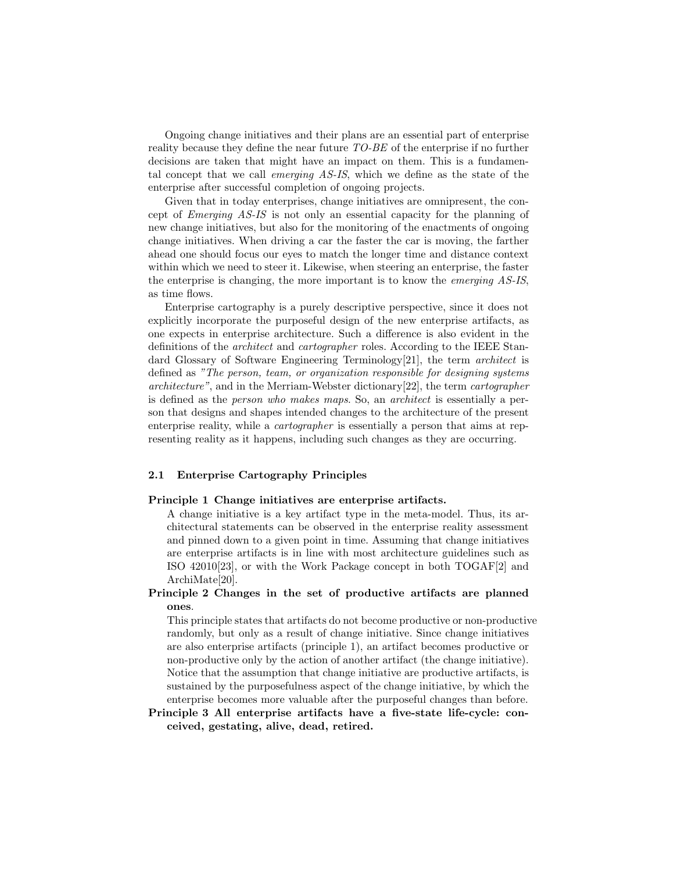Ongoing change initiatives and their plans are an essential part of enterprise reality because they define the near future TO-BE of the enterprise if no further decisions are taken that might have an impact on them. This is a fundamental concept that we call emerging AS-IS, which we define as the state of the enterprise after successful completion of ongoing projects.

Given that in today enterprises, change initiatives are omnipresent, the concept of Emerging AS-IS is not only an essential capacity for the planning of new change initiatives, but also for the monitoring of the enactments of ongoing change initiatives. When driving a car the faster the car is moving, the farther ahead one should focus our eyes to match the longer time and distance context within which we need to steer it. Likewise, when steering an enterprise, the faster the enterprise is changing, the more important is to know the emerging AS-IS, as time flows.

Enterprise cartography is a purely descriptive perspective, since it does not explicitly incorporate the purposeful design of the new enterprise artifacts, as one expects in enterprise architecture. Such a difference is also evident in the definitions of the architect and cartographer roles. According to the IEEE Standard Glossary of Software Engineering Terminology[21], the term *architect* is defined as "The person, team, or organization responsible for designing systems architecture", and in the Merriam-Webster dictionary[22], the term cartographer is defined as the person who makes maps. So, an architect is essentially a person that designs and shapes intended changes to the architecture of the present enterprise reality, while a cartographer is essentially a person that aims at representing reality as it happens, including such changes as they are occurring.

#### 2.1 Enterprise Cartography Principles

#### Principle 1 Change initiatives are enterprise artifacts.

A change initiative is a key artifact type in the meta-model. Thus, its architectural statements can be observed in the enterprise reality assessment and pinned down to a given point in time. Assuming that change initiatives are enterprise artifacts is in line with most architecture guidelines such as ISO 42010[23], or with the Work Package concept in both TOGAF[2] and ArchiMate[20].

Principle 2 Changes in the set of productive artifacts are planned ones.

This principle states that artifacts do not become productive or non-productive randomly, but only as a result of change initiative. Since change initiatives are also enterprise artifacts (principle 1), an artifact becomes productive or non-productive only by the action of another artifact (the change initiative). Notice that the assumption that change initiative are productive artifacts, is sustained by the purposefulness aspect of the change initiative, by which the enterprise becomes more valuable after the purposeful changes than before.

Principle 3 All enterprise artifacts have a five-state life-cycle: conceived, gestating, alive, dead, retired.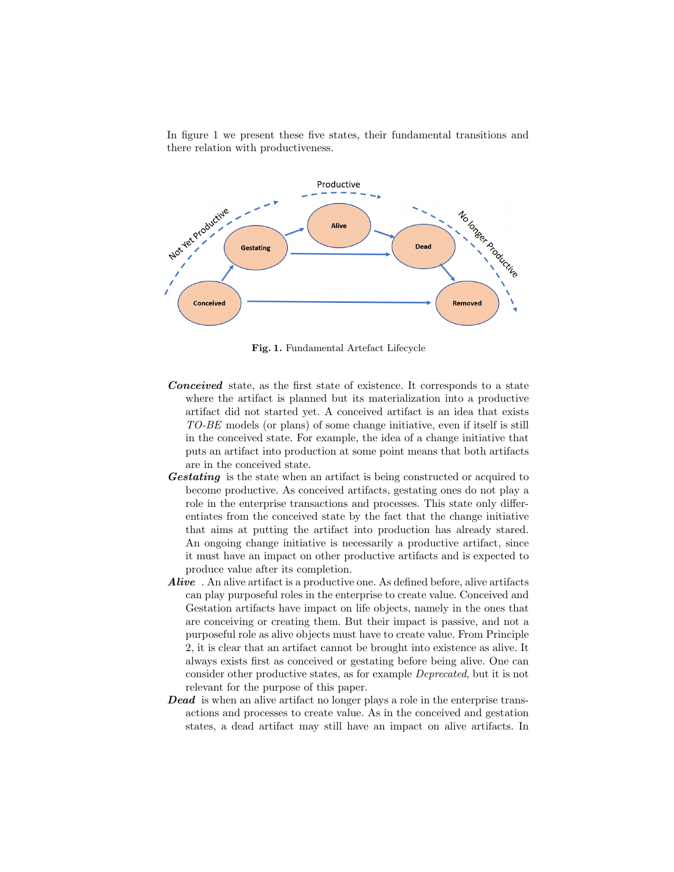In figure 1 we present these five states, their fundamental transitions and there relation with productiveness.



Fig. 1. Fundamental Artefact Lifecycle

- Conceived state, as the first state of existence. It corresponds to a state where the artifact is planned but its materialization into a productive artifact did not started yet. A conceived artifact is an idea that exists TO-BE models (or plans) of some change initiative, even if itself is still in the conceived state. For example, the idea of a change initiative that puts an artifact into production at some point means that both artifacts are in the conceived state.
- Gestating is the state when an artifact is being constructed or acquired to become productive. As conceived artifacts, gestating ones do not play a role in the enterprise transactions and processes. This state only differentiates from the conceived state by the fact that the change initiative that aims at putting the artifact into production has already stared. An ongoing change initiative is necessarily a productive artifact, since it must have an impact on other productive artifacts and is expected to produce value after its completion.
- Alive. An alive artifact is a productive one. As defined before, alive artifacts can play purposeful roles in the enterprise to create value. Conceived and Gestation artifacts have impact on life objects, namely in the ones that are conceiving or creating them. But their impact is passive, and not a purposeful role as alive objects must have to create value. From Principle 2, it is clear that an artifact cannot be brought into existence as alive. It always exists first as conceived or gestating before being alive. One can consider other productive states, as for example Deprecated, but it is not relevant for the purpose of this paper.
- **Dead** is when an alive artifact no longer plays a role in the enterprise transactions and processes to create value. As in the conceived and gestation states, a dead artifact may still have an impact on alive artifacts. In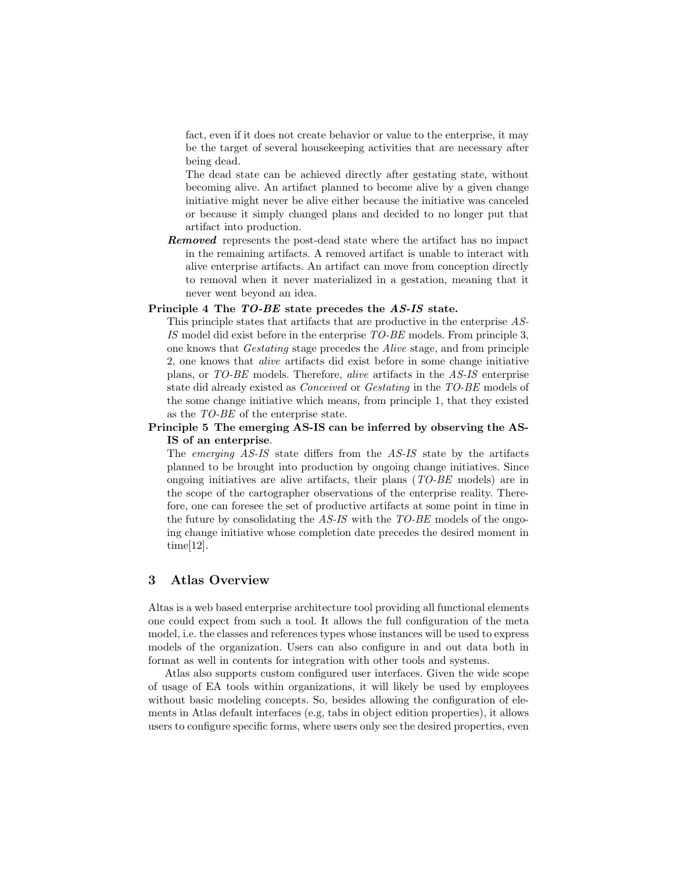fact, even if it does not create behavior or value to the enterprise, it may be the target of several housekeeping activities that are necessary after being dead.

The dead state can be achieved directly after gestating state, without becoming alive. An artifact planned to become alive by a given change initiative might never be alive either because the initiative was canceled or because it simply changed plans and decided to no longer put that artifact into production.

Removed represents the post-dead state where the artifact has no impact in the remaining artifacts. A removed artifact is unable to interact with alive enterprise artifacts. An artifact can move from conception directly to removal when it never materialized in a gestation, meaning that it never went beyond an idea.

#### Principle 4 The TO-BE state precedes the AS-IS state.

This principle states that artifacts that are productive in the enterprise AS-IS model did exist before in the enterprise TO-BE models. From principle 3, one knows that Gestating stage precedes the Alive stage, and from principle 2, one knows that alive artifacts did exist before in some change initiative plans, or TO-BE models. Therefore, alive artifacts in the AS-IS enterprise state did already existed as Conceived or Gestating in the TO-BE models of the some change initiative which means, from principle 1, that they existed as the TO-BE of the enterprise state.

### Principle 5 The emerging AS-IS can be inferred by observing the AS-IS of an enterprise.

The emerging AS-IS state differs from the AS-IS state by the artifacts planned to be brought into production by ongoing change initiatives. Since ongoing initiatives are alive artifacts, their plans  $(TO-BE \text{ models})$  are in the scope of the cartographer observations of the enterprise reality. Therefore, one can foresee the set of productive artifacts at some point in time in the future by consolidating the AS-IS with the TO-BE models of the ongoing change initiative whose completion date precedes the desired moment in time[12].

## 3 Atlas Overview

Altas is a web based enterprise architecture tool providing all functional elements one could expect from such a tool. It allows the full configuration of the meta model, i.e. the classes and references types whose instances will be used to express models of the organization. Users can also configure in and out data both in format as well in contents for integration with other tools and systems.

Atlas also supports custom configured user interfaces. Given the wide scope of usage of EA tools within organizations, it will likely be used by employees without basic modeling concepts. So, besides allowing the configuration of elements in Atlas default interfaces (e.g, tabs in object edition properties), it allows users to configure specific forms, where users only see the desired properties, even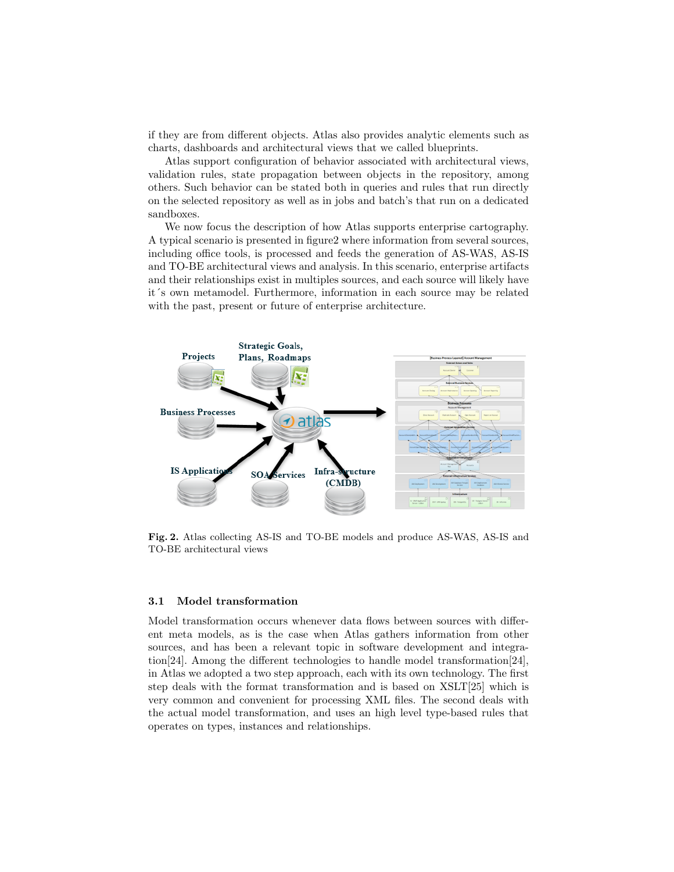if they are from different objects. Atlas also provides analytic elements such as charts, dashboards and architectural views that we called blueprints.

Atlas support configuration of behavior associated with architectural views, validation rules, state propagation between objects in the repository, among others. Such behavior can be stated both in queries and rules that run directly on the selected repository as well as in jobs and batch's that run on a dedicated sandboxes.

We now focus the description of how Atlas supports enterprise cartography. A typical scenario is presented in figure2 where information from several sources, including office tools, is processed and feeds the generation of AS-WAS, AS-IS and TO-BE architectural views and analysis. In this scenario, enterprise artifacts and their relationships exist in multiples sources, and each source will likely have it´s own metamodel. Furthermore, information in each source may be related with the past, present or future of enterprise architecture.



Fig. 2. Atlas collecting AS-IS and TO-BE models and produce AS-WAS, AS-IS and TO-BE architectural views

#### 3.1 Model transformation

Model transformation occurs whenever data flows between sources with different meta models, as is the case when Atlas gathers information from other sources, and has been a relevant topic in software development and integration[24]. Among the different technologies to handle model transformation[24], in Atlas we adopted a two step approach, each with its own technology. The first step deals with the format transformation and is based on XSLT[25] which is very common and convenient for processing XML files. The second deals with the actual model transformation, and uses an high level type-based rules that operates on types, instances and relationships.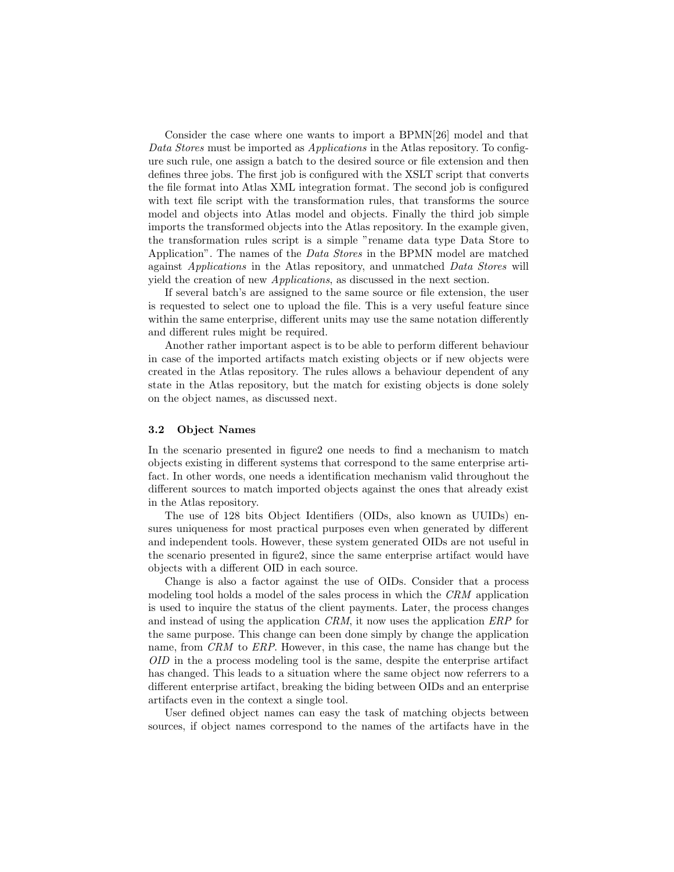Consider the case where one wants to import a BPMN[26] model and that Data Stores must be imported as Applications in the Atlas repository. To configure such rule, one assign a batch to the desired source or file extension and then defines three jobs. The first job is configured with the XSLT script that converts the file format into Atlas XML integration format. The second job is configured with text file script with the transformation rules, that transforms the source model and objects into Atlas model and objects. Finally the third job simple imports the transformed objects into the Atlas repository. In the example given, the transformation rules script is a simple "rename data type Data Store to Application". The names of the Data Stores in the BPMN model are matched against Applications in the Atlas repository, and unmatched Data Stores will yield the creation of new Applications, as discussed in the next section.

If several batch's are assigned to the same source or file extension, the user is requested to select one to upload the file. This is a very useful feature since within the same enterprise, different units may use the same notation differently and different rules might be required.

Another rather important aspect is to be able to perform different behaviour in case of the imported artifacts match existing objects or if new objects were created in the Atlas repository. The rules allows a behaviour dependent of any state in the Atlas repository, but the match for existing objects is done solely on the object names, as discussed next.

#### 3.2 Object Names

In the scenario presented in figure2 one needs to find a mechanism to match objects existing in different systems that correspond to the same enterprise artifact. In other words, one needs a identification mechanism valid throughout the different sources to match imported objects against the ones that already exist in the Atlas repository.

The use of 128 bits Object Identifiers (OIDs, also known as UUIDs) ensures uniqueness for most practical purposes even when generated by different and independent tools. However, these system generated OIDs are not useful in the scenario presented in figure2, since the same enterprise artifact would have objects with a different OID in each source.

Change is also a factor against the use of OIDs. Consider that a process modeling tool holds a model of the sales process in which the CRM application is used to inquire the status of the client payments. Later, the process changes and instead of using the application CRM, it now uses the application ERP for the same purpose. This change can been done simply by change the application name, from CRM to ERP. However, in this case, the name has change but the OID in the a process modeling tool is the same, despite the enterprise artifact has changed. This leads to a situation where the same object now referrers to a different enterprise artifact, breaking the biding between OIDs and an enterprise artifacts even in the context a single tool.

User defined object names can easy the task of matching objects between sources, if object names correspond to the names of the artifacts have in the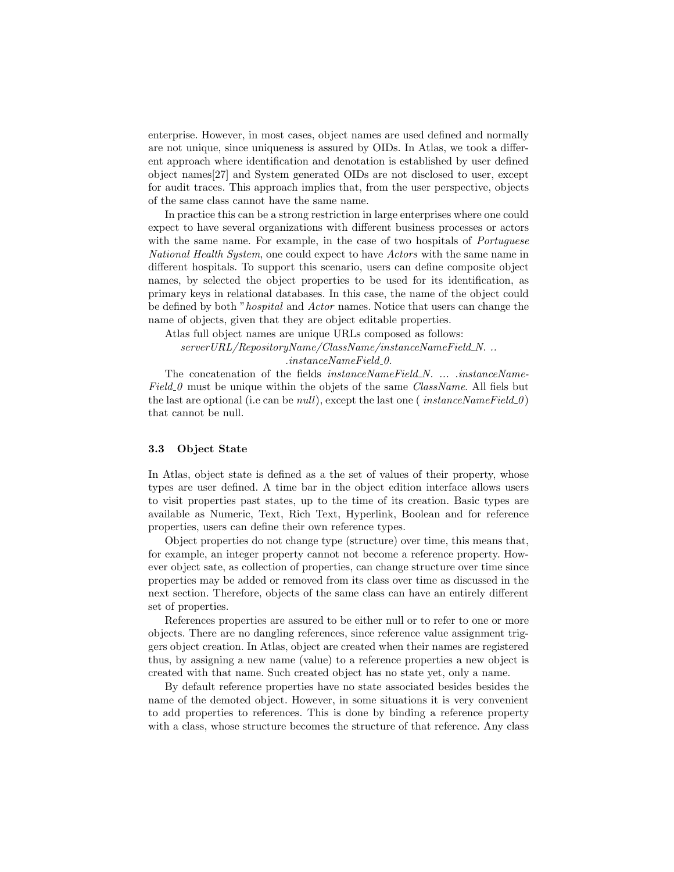enterprise. However, in most cases, object names are used defined and normally are not unique, since uniqueness is assured by OIDs. In Atlas, we took a different approach where identification and denotation is established by user defined object names[27] and System generated OIDs are not disclosed to user, except for audit traces. This approach implies that, from the user perspective, objects of the same class cannot have the same name.

In practice this can be a strong restriction in large enterprises where one could expect to have several organizations with different business processes or actors with the same name. For example, in the case of two hospitals of *Portuguese* National Health System, one could expect to have Actors with the same name in different hospitals. To support this scenario, users can define composite object names, by selected the object properties to be used for its identification, as primary keys in relational databases. In this case, the name of the object could be defined by both "hospital and Actor names. Notice that users can change the name of objects, given that they are object editable properties.

Atlas full object names are unique URLs composed as follows:

 $serverURL/RepositoryName/ClassName/instanceNameField_N.$ ...  $. instanceNameField_0.$ 

The concatenation of the fields *instanceNameField\_N. ...* .*instanceName*- $Field_0$  must be unique within the objets of the same *ClassName*. All fiels but the last are optional (i.e can be *null*), except the last one (*instanceNameField\_0*) that cannot be null.

### 3.3 Object State

In Atlas, object state is defined as a the set of values of their property, whose types are user defined. A time bar in the object edition interface allows users to visit properties past states, up to the time of its creation. Basic types are available as Numeric, Text, Rich Text, Hyperlink, Boolean and for reference properties, users can define their own reference types.

Object properties do not change type (structure) over time, this means that, for example, an integer property cannot not become a reference property. However object sate, as collection of properties, can change structure over time since properties may be added or removed from its class over time as discussed in the next section. Therefore, objects of the same class can have an entirely different set of properties.

References properties are assured to be either null or to refer to one or more objects. There are no dangling references, since reference value assignment triggers object creation. In Atlas, object are created when their names are registered thus, by assigning a new name (value) to a reference properties a new object is created with that name. Such created object has no state yet, only a name.

By default reference properties have no state associated besides besides the name of the demoted object. However, in some situations it is very convenient to add properties to references. This is done by binding a reference property with a class, whose structure becomes the structure of that reference. Any class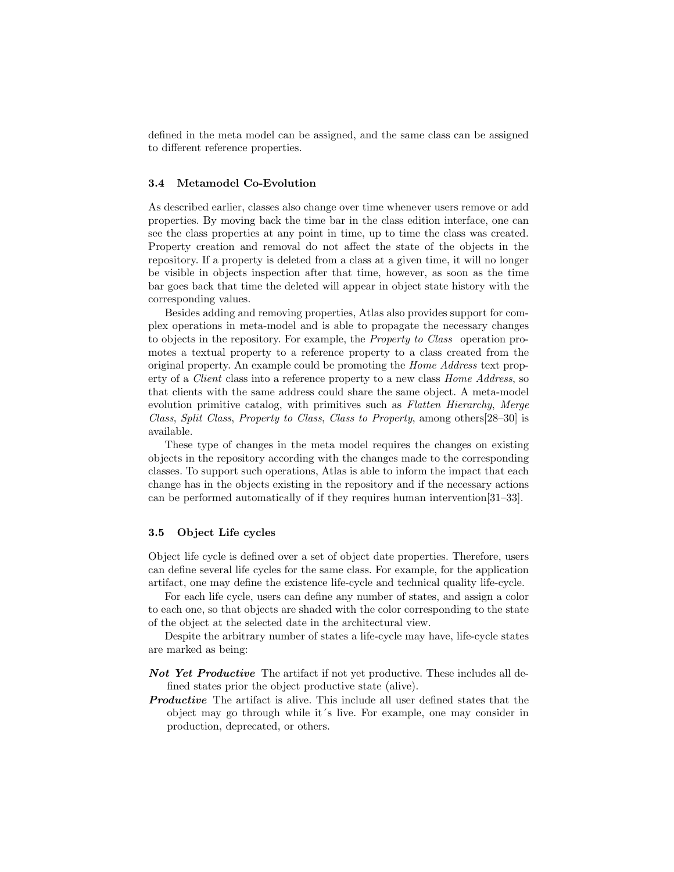defined in the meta model can be assigned, and the same class can be assigned to different reference properties.

#### 3.4 Metamodel Co-Evolution

As described earlier, classes also change over time whenever users remove or add properties. By moving back the time bar in the class edition interface, one can see the class properties at any point in time, up to time the class was created. Property creation and removal do not affect the state of the objects in the repository. If a property is deleted from a class at a given time, it will no longer be visible in objects inspection after that time, however, as soon as the time bar goes back that time the deleted will appear in object state history with the corresponding values.

Besides adding and removing properties, Atlas also provides support for complex operations in meta-model and is able to propagate the necessary changes to objects in the repository. For example, the Property to Class operation promotes a textual property to a reference property to a class created from the original property. An example could be promoting the Home Address text property of a Client class into a reference property to a new class Home Address, so that clients with the same address could share the same object. A meta-model evolution primitive catalog, with primitives such as Flatten Hierarchy, Merge Class, Split Class, Property to Class, Class to Property, among others[28–30] is available.

These type of changes in the meta model requires the changes on existing objects in the repository according with the changes made to the corresponding classes. To support such operations, Atlas is able to inform the impact that each change has in the objects existing in the repository and if the necessary actions can be performed automatically of if they requires human intervention[31–33].

### 3.5 Object Life cycles

Object life cycle is defined over a set of object date properties. Therefore, users can define several life cycles for the same class. For example, for the application artifact, one may define the existence life-cycle and technical quality life-cycle.

For each life cycle, users can define any number of states, and assign a color to each one, so that objects are shaded with the color corresponding to the state of the object at the selected date in the architectural view.

Despite the arbitrary number of states a life-cycle may have, life-cycle states are marked as being:

- Not Yet Productive The artifact if not yet productive. These includes all defined states prior the object productive state (alive).
- **Productive** The artifact is alive. This include all user defined states that the object may go through while it´s live. For example, one may consider in production, deprecated, or others.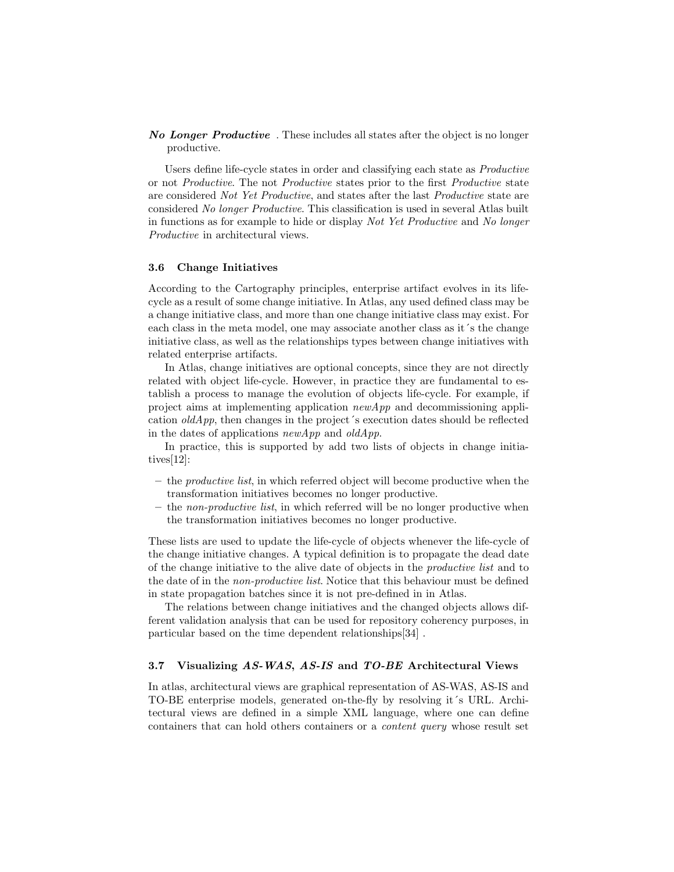No Longer Productive. These includes all states after the object is no longer productive.

Users define life-cycle states in order and classifying each state as Productive or not Productive. The not Productive states prior to the first Productive state are considered Not Yet Productive, and states after the last Productive state are considered No longer Productive. This classification is used in several Atlas built in functions as for example to hide or display Not Yet Productive and No longer Productive in architectural views.

#### 3.6 Change Initiatives

According to the Cartography principles, enterprise artifact evolves in its lifecycle as a result of some change initiative. In Atlas, any used defined class may be a change initiative class, and more than one change initiative class may exist. For each class in the meta model, one may associate another class as it's the change initiative class, as well as the relationships types between change initiatives with related enterprise artifacts.

In Atlas, change initiatives are optional concepts, since they are not directly related with object life-cycle. However, in practice they are fundamental to establish a process to manage the evolution of objects life-cycle. For example, if project aims at implementing application  $newApp$  and decommissioning application  $\text{oldApp}$ , then changes in the project's execution dates should be reflected in the dates of applications  $newApp$  and  $oldApp$ .

In practice, this is supported by add two lists of objects in change initiatives[12]:

- $-$  the *productive list*, in which referred object will become productive when the transformation initiatives becomes no longer productive.
- the non-productive list, in which referred will be no longer productive when the transformation initiatives becomes no longer productive.

These lists are used to update the life-cycle of objects whenever the life-cycle of the change initiative changes. A typical definition is to propagate the dead date of the change initiative to the alive date of objects in the productive list and to the date of in the non-productive list. Notice that this behaviour must be defined in state propagation batches since it is not pre-defined in in Atlas.

The relations between change initiatives and the changed objects allows different validation analysis that can be used for repository coherency purposes, in particular based on the time dependent relationships[34] .

### 3.7 Visualizing AS-WAS, AS-IS and TO-BE Architectural Views

In atlas, architectural views are graphical representation of AS-WAS, AS-IS and TO-BE enterprise models, generated on-the-fly by resolving it´s URL. Architectural views are defined in a simple XML language, where one can define containers that can hold others containers or a content query whose result set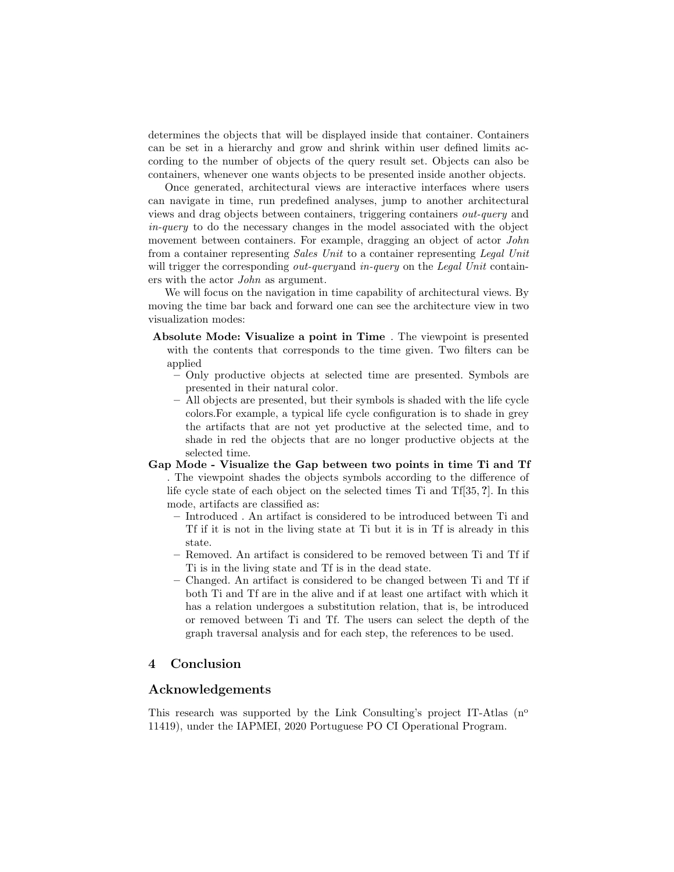determines the objects that will be displayed inside that container. Containers can be set in a hierarchy and grow and shrink within user defined limits according to the number of objects of the query result set. Objects can also be containers, whenever one wants objects to be presented inside another objects.

Once generated, architectural views are interactive interfaces where users can navigate in time, run predefined analyses, jump to another architectural views and drag objects between containers, triggering containers out-query and in-query to do the necessary changes in the model associated with the object movement between containers. For example, dragging an object of actor *John* from a container representing Sales Unit to a container representing Legal Unit will trigger the corresponding *out-queryand in-query* on the *Legal Unit* containers with the actor John as argument.

We will focus on the navigation in time capability of architectural views. By moving the time bar back and forward one can see the architecture view in two visualization modes:

- Absolute Mode: Visualize a point in Time . The viewpoint is presented with the contents that corresponds to the time given. Two filters can be applied
	- Only productive objects at selected time are presented. Symbols are presented in their natural color.
	- All objects are presented, but their symbols is shaded with the life cycle colors.For example, a typical life cycle configuration is to shade in grey the artifacts that are not yet productive at the selected time, and to shade in red the objects that are no longer productive objects at the selected time.

# Gap Mode - Visualize the Gap between two points in time Ti and Tf

. The viewpoint shades the objects symbols according to the difference of life cycle state of each object on the selected times Ti and Tf[35, ?]. In this mode, artifacts are classified as:

- Introduced . An artifact is considered to be introduced between Ti and Tf if it is not in the living state at Ti but it is in Tf is already in this state.
- Removed. An artifact is considered to be removed between Ti and Tf if Ti is in the living state and Tf is in the dead state.
- Changed. An artifact is considered to be changed between Ti and Tf if both Ti and Tf are in the alive and if at least one artifact with which it has a relation undergoes a substitution relation, that is, be introduced or removed between Ti and Tf. The users can select the depth of the graph traversal analysis and for each step, the references to be used.

# 4 Conclusion

## Acknowledgements

This research was supported by the Link Consulting's project IT-Atlas  $(n^{\circ})$ 11419), under the IAPMEI, 2020 Portuguese PO CI Operational Program.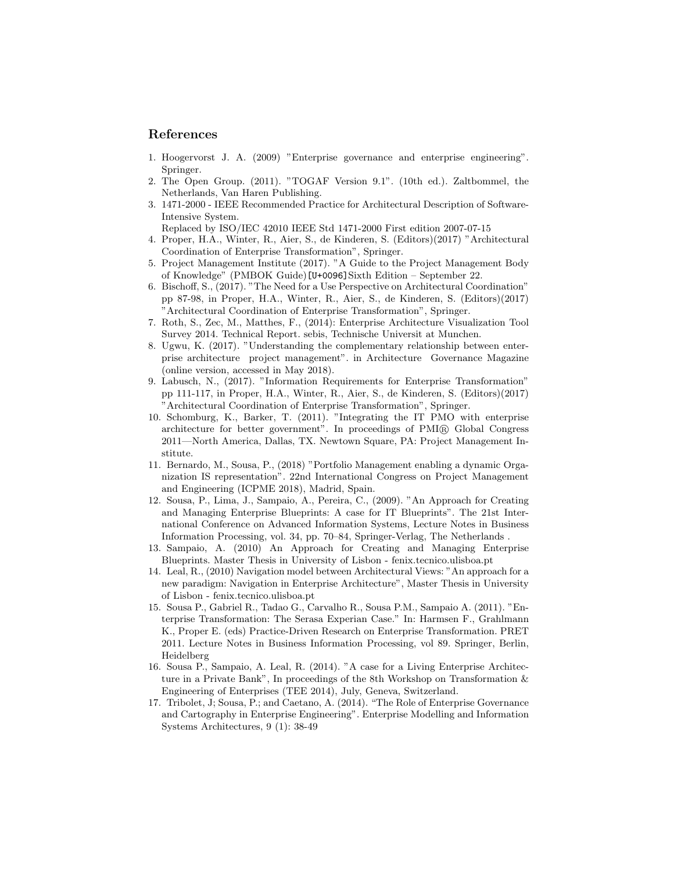## References

- 1. Hoogervorst J. A. (2009) "Enterprise governance and enterprise engineering". Springer.
- 2. The Open Group. (2011). "TOGAF Version 9.1". (10th ed.). Zaltbommel, the Netherlands, Van Haren Publishing.
- 3. 1471-2000 IEEE Recommended Practice for Architectural Description of Software-Intensive System.

Replaced by ISO/IEC 42010 IEEE Std 1471-2000 First edition 2007-07-15

- 4. Proper, H.A., Winter, R., Aier, S., de Kinderen, S. (Editors)(2017) "Architectural Coordination of Enterprise Transformation", Springer.
- 5. Project Management Institute (2017). "A Guide to the Project Management Body of Knowledge" (PMBOK Guide)[U+0096]Sixth Edition – September 22.
- 6. Bischoff, S., (2017). "The Need for a Use Perspective on Architectural Coordination" pp 87-98, in Proper, H.A., Winter, R., Aier, S., de Kinderen, S. (Editors)(2017) "Architectural Coordination of Enterprise Transformation", Springer.
- 7. Roth, S., Zec, M., Matthes, F., (2014): Enterprise Architecture Visualization Tool Survey 2014. Technical Report. sebis, Technische Universit at Munchen.
- 8. Ugwu, K. (2017). "Understanding the complementary relationship between enterprise architecture project management". in Architecture Governance Magazine (online version, accessed in May 2018).
- 9. Labusch, N., (2017). "Information Requirements for Enterprise Transformation" pp 111-117, in Proper, H.A., Winter, R., Aier, S., de Kinderen, S. (Editors)(2017) "Architectural Coordination of Enterprise Transformation", Springer.
- 10. Schomburg, K., Barker, T. (2011). "Integrating the IT PMO with enterprise architecture for better government". In proceedings of PMI <sup>R</sup> Global Congress 2011—North America, Dallas, TX. Newtown Square, PA: Project Management Institute.
- 11. Bernardo, M., Sousa, P., (2018) "Portfolio Management enabling a dynamic Organization IS representation". 22nd International Congress on Project Management and Engineering (ICPME 2018), Madrid, Spain.
- 12. Sousa, P., Lima, J., Sampaio, A., Pereira, C., (2009). "An Approach for Creating and Managing Enterprise Blueprints: A case for IT Blueprints". The 21st International Conference on Advanced Information Systems, Lecture Notes in Business Information Processing, vol. 34, pp. 70–84, Springer-Verlag, The Netherlands .
- 13. Sampaio, A. (2010) An Approach for Creating and Managing Enterprise Blueprints. Master Thesis in University of Lisbon - fenix.tecnico.ulisboa.pt
- 14. Leal, R., (2010) Navigation model between Architectural Views: "An approach for a new paradigm: Navigation in Enterprise Architecture", Master Thesis in University of Lisbon - fenix.tecnico.ulisboa.pt
- 15. Sousa P., Gabriel R., Tadao G., Carvalho R., Sousa P.M., Sampaio A. (2011). "Enterprise Transformation: The Serasa Experian Case." In: Harmsen F., Grahlmann K., Proper E. (eds) Practice-Driven Research on Enterprise Transformation. PRET 2011. Lecture Notes in Business Information Processing, vol 89. Springer, Berlin, Heidelberg
- 16. Sousa P., Sampaio, A. Leal, R. (2014). "A case for a Living Enterprise Architecture in a Private Bank", In proceedings of the 8th Workshop on Transformation & Engineering of Enterprises (TEE 2014), July, Geneva, Switzerland.
- 17. Tribolet, J; Sousa, P.; and Caetano, A. (2014). "The Role of Enterprise Governance and Cartography in Enterprise Engineering". Enterprise Modelling and Information Systems Architectures, 9 (1): 38-49